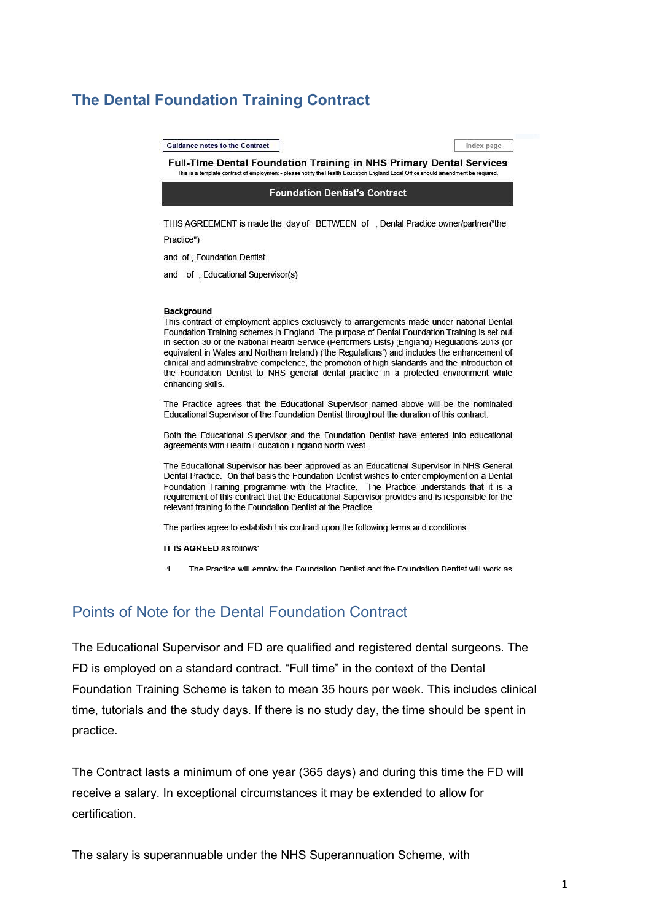# **The Dental Foundation Training Contract**

**Guidance notes to the Contract** 

Index page

Full-Time Dental Foundation Training in NHS Primary Dental Services This is a template contract of employment - please notify the Health Education England Local Office should amendment be required

**Foundation Dentist's Contract** 

THIS AGREEMENT is made the day of BETWEEN of , Dental Practice owner/partner("the

Practice")

and of, Foundation Dentist

and of, Educational Supervisor(s)

#### **Background**

This contract of employment applies exclusively to arrangements made under national Dental Foundation Training schemes in England. The purpose of Dental Foundation Training is set out in section 30 of the National Health Service (Performers Lists) (England) Regulations 2013 (or equivalent in Wales and Northern Ireland) ('the Regulations') and includes the enhancement of clinical and administrative competence, the promotion of high standards and the introduction of the Foundation Dentist to NHS general dental practice in a protected environment while enhancing skills.

The Practice agrees that the Educational Supervisor named above will be the nominated Educational Supervisor of the Foundation Dentist throughout the duration of this contract.

Both the Educational Supervisor and the Foundation Dentist have entered into educational agreements with Health Education England North West.

The Educational Supervisor has been approved as an Educational Supervisor in NHS General Dental Practice. On that basis the Foundation Dentist wishes to enter employment on a Dental Foundation Training programme with the Practice. The Practice understands that it is a requirement of this contract that the Educational Supervisor provides and is responsible for the relevant training to the Foundation Dentist at the Practice.

The parties agree to establish this contract upon the following terms and conditions:

IT IS AGREED as follows:

The Practice will employ the Foundation Dentist and the Foundation Dentist will work as

## Points of Note for the Dental Foundation Contract

The Educational Supervisor and FD are qualified and registered dental surgeons. The FD is employed on a standard contract. "Full time" in the context of the Dental Foundation Training Scheme is taken to mean 35 hours per week. This includes clinical time, tutorials and the study days. If there is no study day, the time should be spent in practice.

The Contract lasts a minimum of one year (365 days) and during this time the FD will receive a salary. In exceptional circumstances it may be extended to allow for certification.

The salary is superannuable under the NHS Superannuation Scheme, with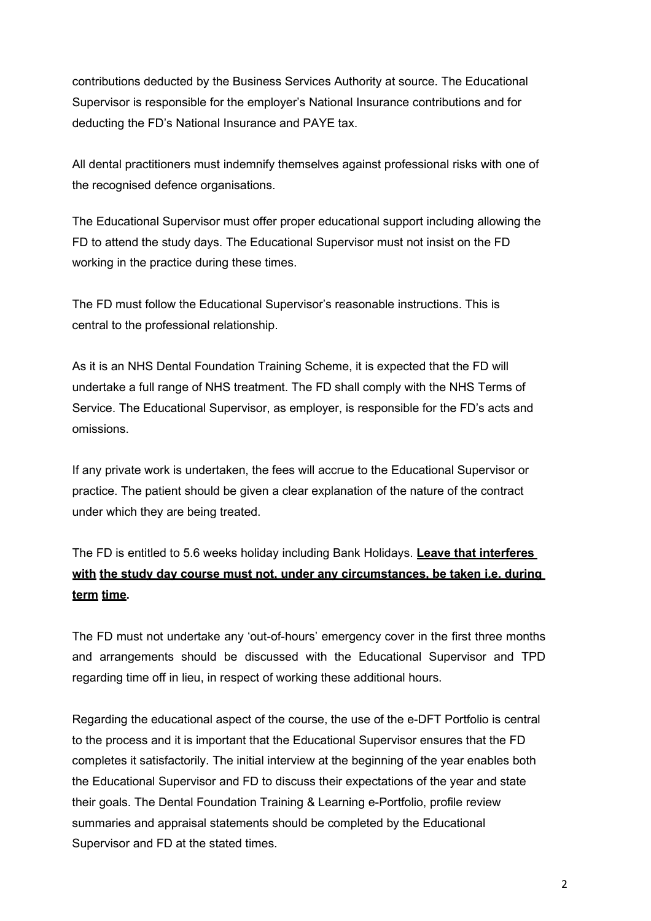contributions deducted by the Business Services Authority at source. The Educational Supervisor is responsible for the employer's National Insurance contributions and for deducting the FD's National Insurance and PAYE tax.

All dental practitioners must indemnify themselves against professional risks with one of the recognised defence organisations.

The Educational Supervisor must offer proper educational support including allowing the FD to attend the study days. The Educational Supervisor must not insist on the FD working in the practice during these times.

The FD must follow the Educational Supervisor's reasonable instructions. This is central to the professional relationship.

As it is an NHS Dental Foundation Training Scheme, it is expected that the FD will undertake a full range of NHS treatment. The FD shall comply with the NHS Terms of Service. The Educational Supervisor, as employer, is responsible for the FD's acts and omissions.

If any private work is undertaken, the fees will accrue to the Educational Supervisor or practice. The patient should be given a clear explanation of the nature of the contract under which they are being treated.

# The FD is entitled to 5.6 weeks holiday including Bank Holidays. **Leave that interferes with the study day course must not, under any circumstances, be taken i.e. during term time.**

The FD must not undertake any 'out-of-hours' emergency cover in the first three months and arrangements should be discussed with the Educational Supervisor and TPD regarding time off in lieu, in respect of working these additional hours.

Regarding the educational aspect of the course, the use of the e-DFT Portfolio is central to the process and it is important that the Educational Supervisor ensures that the FD completes it satisfactorily. The initial interview at the beginning of the year enables both the Educational Supervisor and FD to discuss their expectations of the year and state their goals. The Dental Foundation Training & Learning e-Portfolio, profile review summaries and appraisal statements should be completed by the Educational Supervisor and FD at the stated times.